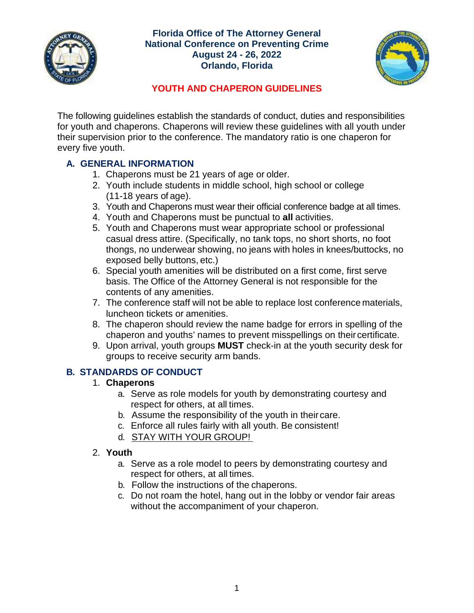

#### **Florida Office of The Attorney General National Conference on Preventing Crime August 24 - 26, 2022 Orlando, Florida**



# **YOUTH AND CHAPERON GUIDELINES**

The following guidelines establish the standards of conduct, duties and responsibilities for youth and chaperons. Chaperons will review these guidelines with all youth under their supervision prior to the conference. The mandatory ratio is one chaperon for every five youth.

# **A. GENERAL INFORMATION**

- 1. Chaperons must be 21 years of age or older.
- 2. Youth include students in middle school, high school or college (11-18 years of age).
- 3. Youth and Chaperons must wear their official conference badge at all times.
- 4. Youth and Chaperons must be punctual to **all** activities.
- 5. Youth and Chaperons must wear appropriate school or professional casual dress attire. (Specifically, no tank tops, no short shorts, no foot thongs, no underwear showing, no jeans with holes in knees/buttocks, no exposed belly buttons, etc.)
- 6. Special youth amenities will be distributed on a first come, first serve basis. The Office of the Attorney General is not responsible for the contents of any amenities.
- 7. The conference staff will not be able to replace lost conference materials, luncheon tickets or amenities.
- 8. The chaperon should review the name badge for errors in spelling of the chaperon and youths' names to prevent misspellings on their certificate.
- 9. Upon arrival, youth groups **MUST** check-in at the youth security desk for groups to receive security arm bands.

# **B. STANDARDS OF CONDUCT**

## 1. **Chaperons**

- a. Serve as role models for youth by demonstrating courtesy and respect for others, at all times.
- b. Assume the responsibility of the youth in their care.
- c. Enforce all rules fairly with all youth. Be consistent!
- d. STAY WITH YOUR GROUP!

## 2. **Youth**

- a. Serve as a role model to peers by demonstrating courtesy and respect for others, at all times.
- b. Follow the instructions of the chaperons.
- c. Do not roam the hotel, hang out in the lobby or vendor fair areas without the accompaniment of your chaperon.